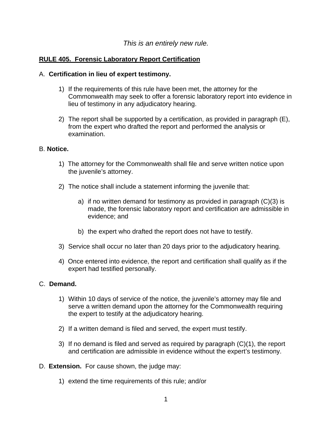# *This is an entirely new rule.*

## **RULE 405. Forensic Laboratory Report Certification**

### A. **Certification in lieu of expert testimony.**

- 1) If the requirements of this rule have been met, the attorney for the Commonwealth may seek to offer a forensic laboratory report into evidence in lieu of testimony in any adjudicatory hearing.
- 2) The report shall be supported by a certification, as provided in paragraph (E), from the expert who drafted the report and performed the analysis or examination.

### B. **Notice.**

- 1) The attorney for the Commonwealth shall file and serve written notice upon the juvenile's attorney.
- 2) The notice shall include a statement informing the juvenile that:
	- a) if no written demand for testimony as provided in paragraph (C)(3) is made, the forensic laboratory report and certification are admissible in evidence; and
	- b) the expert who drafted the report does not have to testify.
- 3) Service shall occur no later than 20 days prior to the adjudicatory hearing.
- 4) Once entered into evidence, the report and certification shall qualify as if the expert had testified personally.

### C. **Demand.**

- 1) Within 10 days of service of the notice, the juvenile's attorney may file and serve a written demand upon the attorney for the Commonwealth requiring the expert to testify at the adjudicatory hearing.
- 2) If a written demand is filed and served, the expert must testify.
- 3) If no demand is filed and served as required by paragraph (C)(1), the report and certification are admissible in evidence without the expert's testimony.
- D. **Extension.** For cause shown, the judge may:
	- 1) extend the time requirements of this rule; and/or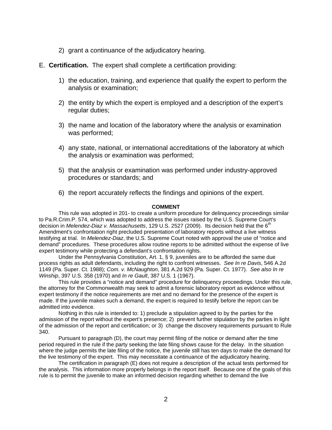- 2) grant a continuance of the adjudicatory hearing.
- E. **Certification.** The expert shall complete a certification providing:
	- 1) the education, training, and experience that qualify the expert to perform the analysis or examination;
	- 2) the entity by which the expert is employed and a description of the expert's regular duties;
	- 3) the name and location of the laboratory where the analysis or examination was performed;
	- 4) any state, national, or international accreditations of the laboratory at which the analysis or examination was performed;
	- 5) that the analysis or examination was performed under industry-approved procedures or standards; and
	- 6) the report accurately reflects the findings and opinions of the expert.

#### **COMMENT**

This rule was adopted in 201- to create a uniform procedure for delinquency proceedings similar to Pa.R.Crim.P. 574, which was adopted to address the issues raised by the U.S. Supreme Court's decision in *Melendez-Diaz v. Massachusetts*, 129 U.S. 2527 (2009). Its decision held that the 6<sup>th</sup> Amendment's confrontation right precluded presentation of laboratory reports without a live witness testifying at trial. In *Melendez-Diaz*, the U.S. Supreme Court noted with approval the use of "notice and demand" procedures. These procedures allow routine reports to be admitted without the expense of live expert testimony while protecting a defendant's confrontation rights.

Under the Pennsylvania Constitution, Art. 1, § 9, juveniles are to be afforded the same due process rights as adult defendants, including the right to confront witnesses. *See In re Davis*, 546 A.2d 1149 (Pa. Super. Ct. 1988); *Com. v. McNaughton*, 381 A.2d 929 (Pa. Super. Ct. 1977). *See also In re Winship*, 397 U.S. 358 (1970) and *In re Gault*, 387 U.S. 1 (1967).

This rule provides a "notice and demand" procedure for delinquency proceedings. Under this rule, the attorney for the Commonwealth may seek to admit a forensic laboratory report as evidence without expert testimony if the notice requirements are met and no demand for the presence of the expert is made. If the juvenile makes such a demand, the expert is required to testify before the report can be admitted into evidence.

Nothing in this rule is intended to: 1) preclude a stipulation agreed to by the parties for the admission of the report without the expert's presence; 2) prevent further stipulation by the parties in light of the admission of the report and certification; or 3) change the discovery requirements pursuant to Rule 340.

Pursuant to paragraph (D), the court may permit filing of the notice or demand after the time period required in the rule if the party seeking the late filing shows cause for the delay. In the situation where the judge permits the late filing of the notice, the juvenile still has ten days to make the demand for the live testimony of the expert. This may necessitate a continuance of the adjudicatory hearing.

The certification in paragraph (E) does not require a description of the actual tests performed for the analysis. This information more properly belongs in the report itself. Because one of the goals of this rule is to permit the juvenile to make an informed decision regarding whether to demand the live